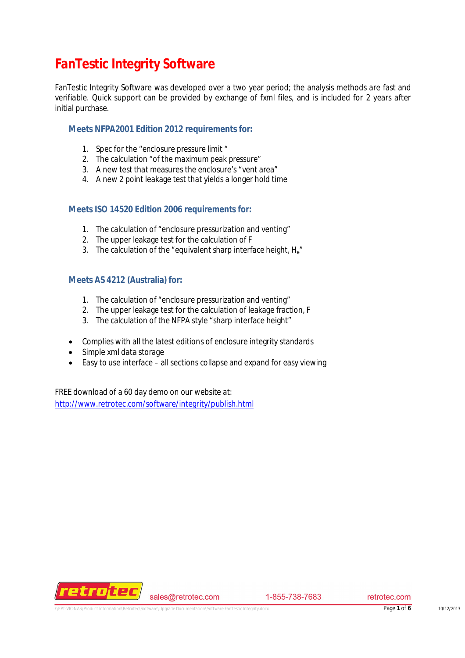# **FanTestic Integrity Software**

FanTestic Integrity Software was developed over a two year period; the analysis methods are fast and verifiable. Quick support can be provided by exchange of fxml files, and is included for 2 years after initial purchase.

### **Meets NFPA2001 Edition 2012 requirements for:**

- 1. Spec for the "*enclosure pressure limit* "
- 2. The calculation "*of the maximum peak pressure*"
- 3. A new test that measures the enclosure's "vent area"
- 4. A new 2 point leakage test that yields a longer hold time

### **Meets ISO 14520 Edition 2006 requirements for:**

- 1. The calculation of "enclosure pressurization and venting"
- 2. The upper leakage test for the calculation of F
- 3. The calculation of the "equivalent sharp interface height,  $H_{e}$ "

### **Meets AS 4212 (Australia) for:**

- 1. The calculation of "enclosure pressurization and venting"
- 2. The upper leakage test for the calculation of leakage fraction, *F*
- 3. The calculation of the NFPA style "sharp interface height"
- Complies with all the latest editions of enclosure integrity standards
- Simple xml data storage
- Easy to use interface all sections collapse and expand for easy viewing

FREE download of a 60 day demo on our website at: http://www.retrotec.com/software/integrity/publish.html



sales@retrotec.com

1-855-738-7683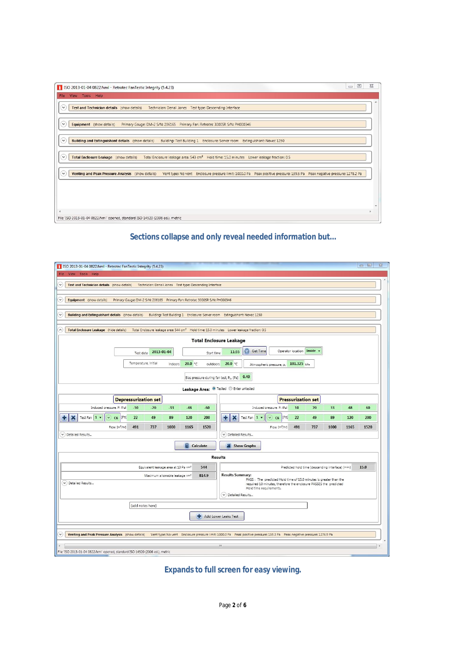| ISO 2013-01-04 0822.fxml - Retrotec FanTestic Integrity (5.4.23)                                                                                                                            | ΣŜ<br>▣<br>$\qquad \qquad \qquad \qquad \Box$ |
|---------------------------------------------------------------------------------------------------------------------------------------------------------------------------------------------|-----------------------------------------------|
| View Tools Help<br>File                                                                                                                                                                     |                                               |
| Test and Technician details (show details) Technician: Denali Jones Test type: Descending Interface<br>$\checkmark$                                                                         |                                               |
| $\checkmark$<br>Equipment (show details)<br>Primary Gauge: DM-2 S/N: 206165 Primary Fan: Retrotec 3000SR S/N: PH000346                                                                      |                                               |
| $\checkmark$<br><b>Building and Extinguishant details</b> (show details)<br>Building: Test Building 1 Enclosure: Server room Extinguishant: Novec 1230                                      |                                               |
| Total Enclosure Leakage (show details) Total Enclosure leakage area: 543 cm <sup>2</sup> Hold time: 15.0 minutes Lower leakage fraction: 0.5<br>$\checkmark$                                |                                               |
| $\checkmark$<br>Venting and Peak Pressure Analysis (show details) Vent type: No vent Enclosure pressure limit: 1000.0 Pa Peak positive pressure: 139.5 Pa Peak negative pressure: 1278.2 Pa |                                               |
|                                                                                                                                                                                             |                                               |
|                                                                                                                                                                                             |                                               |
|                                                                                                                                                                                             |                                               |
| File 'ISO 2013-01-04 0822.fxml' opened, standard ISO 14520 (2006 ed.), metric                                                                                                               |                                               |

### **Sections collapse and only reveal needed information but…**



**Expands to full screen for easy viewing.**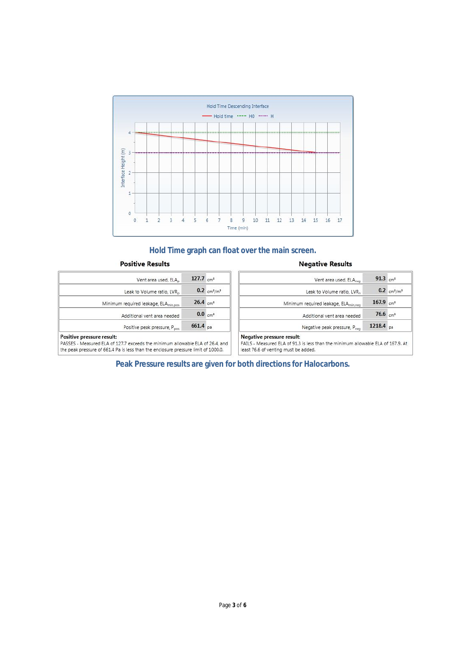

## **Hold Time graph can float over the main screen.**

#### **Positive Results**

#### **Negative Results**

| Vent area used, ELA <sub>p</sub>                                                                                                                                                                 | 127.7 $cm2$          |                                     | Vent area used, ELA <sub>nen</sub>                                                                                                                    | 91.3 $cm2$              |                                     |
|--------------------------------------------------------------------------------------------------------------------------------------------------------------------------------------------------|----------------------|-------------------------------------|-------------------------------------------------------------------------------------------------------------------------------------------------------|-------------------------|-------------------------------------|
| Leak to Volume ratio, LVR.                                                                                                                                                                       |                      | 0.2 cm <sup>2</sup> /m <sup>3</sup> | Leak to Volume ratio, LVR <sub>n</sub>                                                                                                                |                         | 0.2 cm <sup>2</sup> /m <sup>3</sup> |
| Minimum required leakage, ELA <sub>min.pos</sub>                                                                                                                                                 | 26.4 cm <sup>2</sup> |                                     | Minimum required leakage, ELA <sub>min.neo</sub>                                                                                                      | $167.9$ cm <sup>2</sup> |                                     |
| Additional vent area needed                                                                                                                                                                      |                      | 0.0 cm <sup>2</sup>                 | Additional vent area needed                                                                                                                           | $76.6$ cm <sup>2</sup>  |                                     |
| Positive peak pressure, P <sub>pos</sub>                                                                                                                                                         | $661.4$ $n=$         |                                     | Negative peak pressure, P <sub>neg</sub>                                                                                                              | $1218.4$ na             |                                     |
| Positive pressure result:<br>PASSES - Measured ELA of 127.7 exceeds the minimum allowable ELA of 26.4, and<br>the peak pressure of 661.4 Pa is less than the enclosure pressure limit of 1000.0. |                      |                                     | Negative pressure result:<br>FAILS - Measured ELA of 91.3 is less than the minimum allowable ELA of 167.9. At<br>least 76.6 of venting must be added. |                         |                                     |

**Peak Pressure results are given for both directions for Halocarbons.**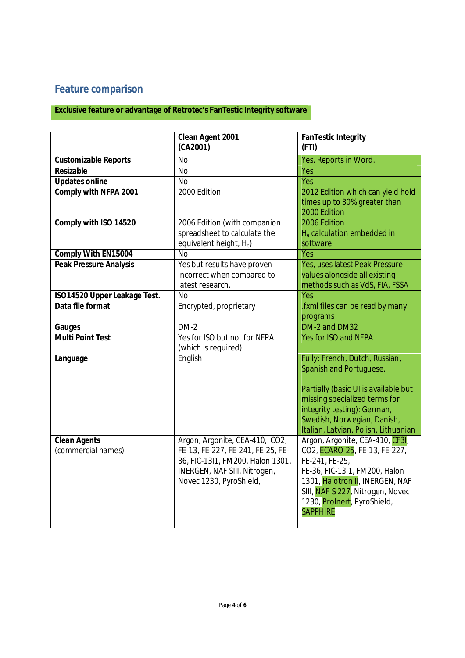## **Feature comparison**

## **Exclusive feature or advantage of Retrotec's FanTestic Integrity software**

|                               | <b>Clean Agent 2001</b><br>(CA2001) | <b>FanTestic Integrity</b><br>(FTI)    |
|-------------------------------|-------------------------------------|----------------------------------------|
| <b>Customizable Reports</b>   | <b>No</b>                           | Yes. Reports in Word.                  |
| <b>Resizable</b>              | <b>No</b>                           | Yes                                    |
| <b>Updates online</b>         | <b>No</b>                           | Yes                                    |
| <b>Comply with NFPA 2001</b>  | 2000 Edition                        | 2012 Edition which can yield hold      |
|                               |                                     | times up to 30% greater than           |
|                               |                                     | 2000 Edition                           |
| Comply with ISO 14520         | 2006 Edition (with companion        | 2006 Edition                           |
|                               | spreadsheet to calculate the        | H <sub>e</sub> calculation embedded in |
|                               | equivalent height, H <sub>e</sub> ) | software                               |
| <b>Comply With EN15004</b>    | <b>No</b>                           | Yes                                    |
| <b>Peak Pressure Analysis</b> | Yes but results have proven         | Yes, uses latest Peak Pressure         |
|                               | incorrect when compared to          | values alongside all existing          |
|                               | latest research.                    | methods such as VdS, FIA, FSSA         |
| ISO14520 Upper Leakage Test.  | <b>No</b>                           | Yes                                    |
| Data file format              | Encrypted, proprietary              | .fxml files can be read by many        |
|                               |                                     | programs                               |
| Gauges                        | $DM-2$                              | DM-2 and DM32                          |
| <b>Multi Point Test</b>       | Yes for ISO but not for NFPA        | Yes for ISO and NFPA                   |
|                               | (which is required)                 |                                        |
| Language                      | English                             | Fully: French, Dutch, Russian,         |
|                               |                                     | Spanish and Portuguese.                |
|                               |                                     |                                        |
|                               |                                     | Partially (basic UI is available but   |
|                               |                                     | missing specialized terms for          |
|                               |                                     | integrity testing): German,            |
|                               |                                     | Swedish, Norwegian, Danish,            |
|                               |                                     | Italian, Latvian, Polish, Lithuanian   |
| <b>Clean Agents</b>           | Argon, Argonite, CEA-410, CO2,      | Argon, Argonite, CEA-410, CF3I,        |
| (commercial names)            | FE-13, FE-227, FE-241, FE-25, FE-   | CO2, ECARO-25, FE-13, FE-227,          |
|                               | 36, FIC-13I1, FM200, Halon 1301,    | FE-241, FE-25,                         |
|                               | INERGEN, NAF SIII, Nitrogen,        | FE-36, FIC-13I1, FM200, Halon          |
|                               | Novec 1230, PyroShield,             | 1301, Halotron II, INERGEN, NAF        |
|                               |                                     | SIII, NAF S 227, Nitrogen, Novec       |
|                               |                                     | 1230, Prolnert, PyroShield,            |
|                               |                                     | <b>SAPPHIRE</b>                        |
|                               |                                     |                                        |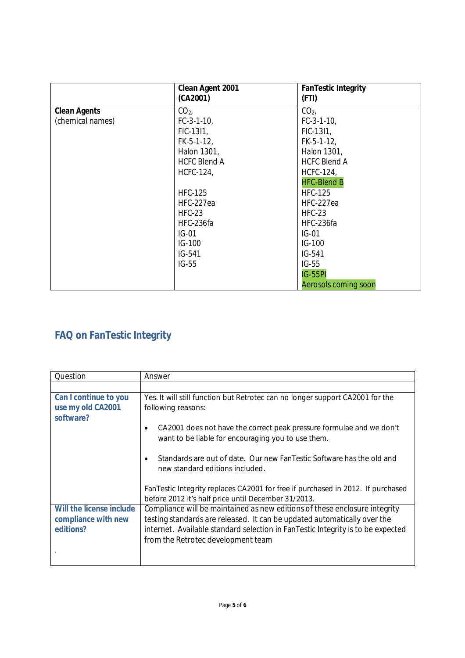|                     | <b>Clean Agent 2001</b> | <b>FanTestic Integrity</b> |
|---------------------|-------------------------|----------------------------|
|                     | (CA2001)                | (FTI)                      |
| <b>Clean Agents</b> | CO <sub>2</sub>         | CO <sub>21</sub>           |
| (chemical names)    | $FC-3-1-10$ ,           | $FC-3-1-10,$               |
|                     | FIC-13I1,               | FIC-13I1,                  |
|                     | $FK-5-1-12$ ,           | $FK-5-1-12$ ,              |
|                     | Halon 1301,             | Halon 1301,                |
|                     | <b>HCFC Blend A</b>     | <b>HCFC Blend A</b>        |
|                     | <b>HCFC-124,</b>        | <b>HCFC-124,</b>           |
|                     |                         | <b>HFC-Blend B</b>         |
|                     | <b>HFC-125</b>          | <b>HFC-125</b>             |
|                     | HFC-227ea               | HFC-227ea                  |
|                     | <b>HFC-23</b>           | <b>HFC-23</b>              |
|                     | HFC-236fa               | HFC-236fa                  |
|                     | $IG-01$                 | $IG-01$                    |
|                     | IG-100                  | IG-100                     |
|                     | IG-541                  | IG-541                     |
|                     | $IG-55$                 | $IG-55$                    |
|                     |                         | <b>IG-55PI</b>             |
|                     |                         | Aerosols coming soon       |

## **FAQ on FanTestic Integrity**

| Question                                                | Answer                                                                                                                                  |
|---------------------------------------------------------|-----------------------------------------------------------------------------------------------------------------------------------------|
|                                                         |                                                                                                                                         |
| Can I continue to you<br>use my old CA2001<br>software? | Yes. It will still function but Retrotec can no longer support CA2001 for the<br>following reasons:                                     |
|                                                         | CA2001 does not have the correct peak pressure formulae and we don't<br>$\bullet$<br>want to be liable for encouraging you to use them. |
|                                                         | Standards are out of date. Our new FanTestic Software has the old and<br>$\bullet$<br>new standard editions included.                   |
|                                                         | FanTestic Integrity replaces CA2001 for free if purchased in 2012. If purchased<br>before 2012 it's half price until December 31/2013.  |
| Will the license include                                | Compliance will be maintained as new editions of these enclosure integrity                                                              |
| compliance with new                                     | testing standards are released. It can be updated automatically over the                                                                |
| editions?                                               | internet. Available standard selection in FanTestic Integrity is to be expected                                                         |
|                                                         | from the Retrotec development team                                                                                                      |
|                                                         |                                                                                                                                         |